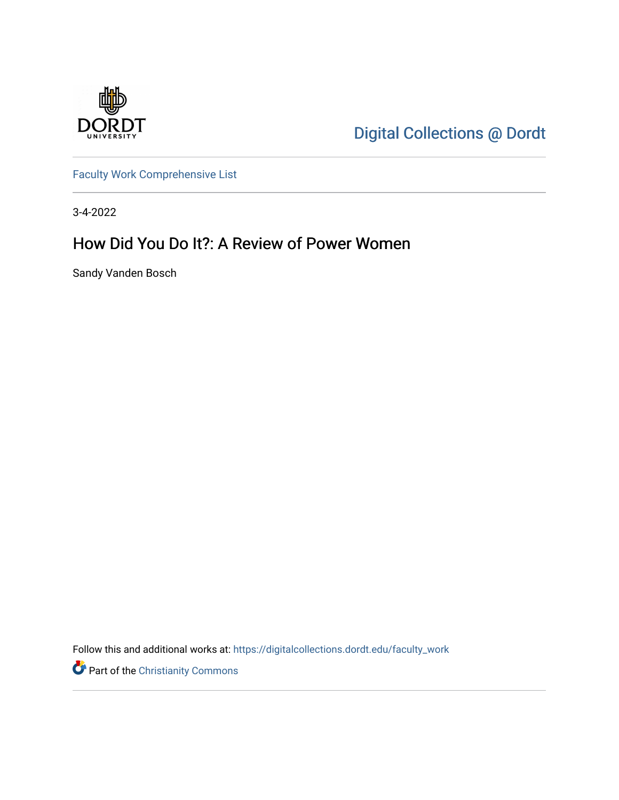

[Digital Collections @ Dordt](https://digitalcollections.dordt.edu/) 

[Faculty Work Comprehensive List](https://digitalcollections.dordt.edu/faculty_work)

3-4-2022

## How Did You Do It?: A Review of Power Women

Sandy Vanden Bosch

Follow this and additional works at: [https://digitalcollections.dordt.edu/faculty\\_work](https://digitalcollections.dordt.edu/faculty_work?utm_source=digitalcollections.dordt.edu%2Ffaculty_work%2F1373&utm_medium=PDF&utm_campaign=PDFCoverPages) 

Part of the [Christianity Commons](http://network.bepress.com/hgg/discipline/1181?utm_source=digitalcollections.dordt.edu%2Ffaculty_work%2F1373&utm_medium=PDF&utm_campaign=PDFCoverPages)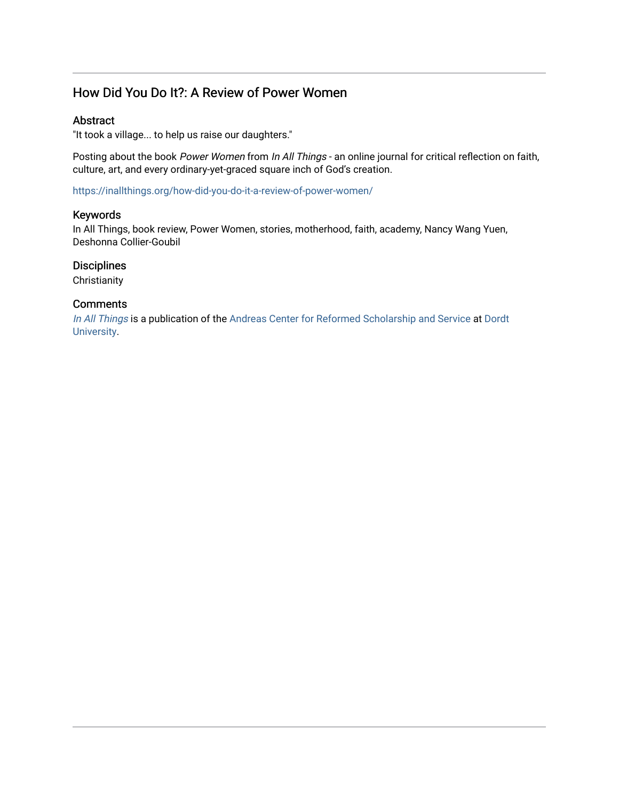### How Did You Do It?: A Review of Power Women

#### Abstract

"It took a village... to help us raise our daughters."

Posting about the book Power Women from In All Things - an online journal for critical reflection on faith, culture, art, and every ordinary-yet-graced square inch of God's creation.

<https://inallthings.org/how-did-you-do-it-a-review-of-power-women/>

#### Keywords

In All Things, book review, Power Women, stories, motherhood, faith, academy, Nancy Wang Yuen, Deshonna Collier-Goubil

#### **Disciplines**

**Christianity** 

#### **Comments**

[In All Things](http://inallthings.org/) is a publication of the [Andreas Center for Reformed Scholarship and Service](http://www.dordt.edu/services_support/andreas_center/) at Dordt [University](http://www.dordt.edu/).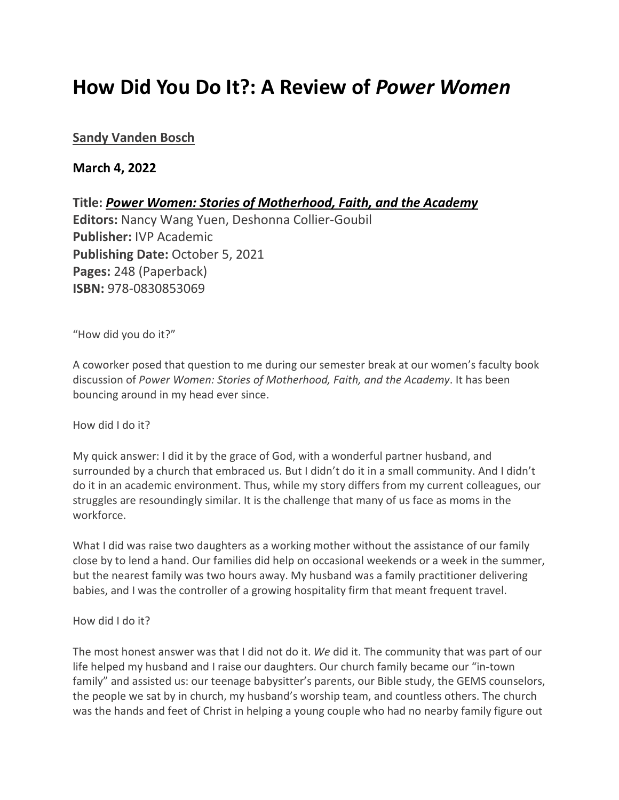# **How Did You Do It?: A Review of** *Power Women*

#### **[Sandy Vanden Bosch](https://inallthings.org/author/sandy-vanden-bosch/)**

#### **March 4, 2022**

**Title:** *Power Women: Stories of Motherhood, Faith, and the Academy* **Editors:** Nancy Wang Yuen, Deshonna Collier-Goubil

**Publisher:** IVP Academic **Publishing Date:** October 5, 2021 **Pages:** 248 (Paperback) **ISBN:** 978-0830853069

"How did you do it?"

A coworker posed that question to me during our semester break at our women's faculty book discussion of *Power Women: Stories of Motherhood, Faith, and the Academy*. It has been bouncing around in my head ever since.

How did I do it?

My quick answer: I did it by the grace of God, with a wonderful partner husband, and surrounded by a church that embraced us. But I didn't do it in a small community. And I didn't do it in an academic environment. Thus, while my story differs from my current colleagues, our struggles are resoundingly similar. It is the challenge that many of us face as moms in the workforce.

What I did was raise two daughters as a working mother without the assistance of our family close by to lend a hand. Our families did help on occasional weekends or a week in the summer, but the nearest family was two hours away. My husband was a family practitioner delivering babies, and I was the controller of a growing hospitality firm that meant frequent travel.

How did I do it?

The most honest answer was that I did not do it. *We* did it. The community that was part of our life helped my husband and I raise our daughters. Our church family became our "in-town family" and assisted us: our teenage babysitter's parents, our Bible study, the GEMS counselors, the people we sat by in church, my husband's worship team, and countless others. The church was the hands and feet of Christ in helping a young couple who had no nearby family figure out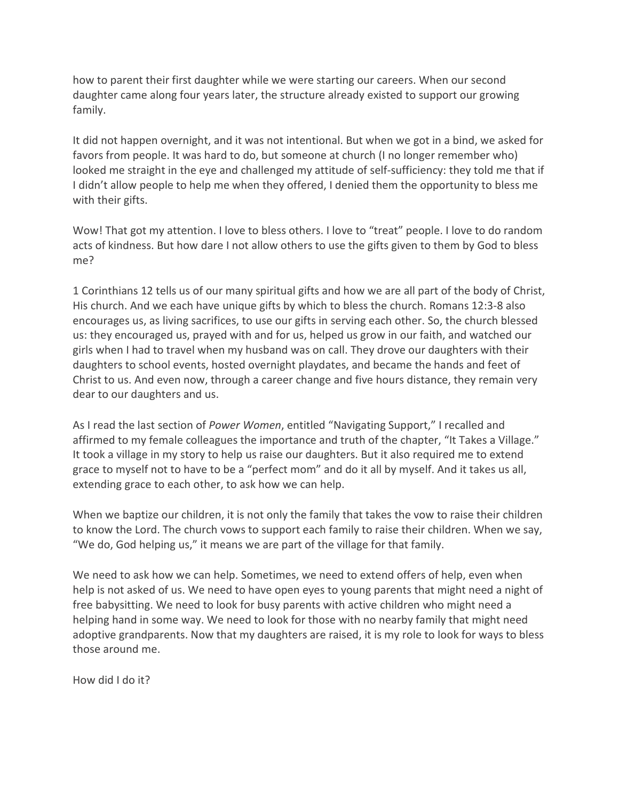how to parent their first daughter while we were starting our careers. When our second daughter came along four years later, the structure already existed to support our growing family.

It did not happen overnight, and it was not intentional. But when we got in a bind, we asked for favors from people. It was hard to do, but someone at church (I no longer remember who) looked me straight in the eye and challenged my attitude of self-sufficiency: they told me that if I didn't allow people to help me when they offered, I denied them the opportunity to bless me with their gifts.

Wow! That got my attention. I love to bless others. I love to "treat" people. I love to do random acts of kindness. But how dare I not allow others to use the gifts given to them by God to bless me?

1 Corinthians 12 tells us of our many spiritual gifts and how we are all part of the body of Christ, His church. And we each have unique gifts by which to bless the church. Romans 12:3-8 also encourages us, as living sacrifices, to use our gifts in serving each other. So, the church blessed us: they encouraged us, prayed with and for us, helped us grow in our faith, and watched our girls when I had to travel when my husband was on call. They drove our daughters with their daughters to school events, hosted overnight playdates, and became the hands and feet of Christ to us. And even now, through a career change and five hours distance, they remain very dear to our daughters and us.

As I read the last section of *Power Women*, entitled "Navigating Support," I recalled and affirmed to my female colleagues the importance and truth of the chapter, "It Takes a Village." It took a village in my story to help us raise our daughters. But it also required me to extend grace to myself not to have to be a "perfect mom" and do it all by myself. And it takes us all, extending grace to each other, to ask how we can help.

When we baptize our children, it is not only the family that takes the vow to raise their children to know the Lord. The church vows to support each family to raise their children. When we say, "We do, God helping us," it means we are part of the village for that family.

We need to ask how we can help. Sometimes, we need to extend offers of help, even when help is not asked of us. We need to have open eyes to young parents that might need a night of free babysitting. We need to look for busy parents with active children who might need a helping hand in some way. We need to look for those with no nearby family that might need adoptive grandparents. Now that my daughters are raised, it is my role to look for ways to bless those around me.

How did I do it?